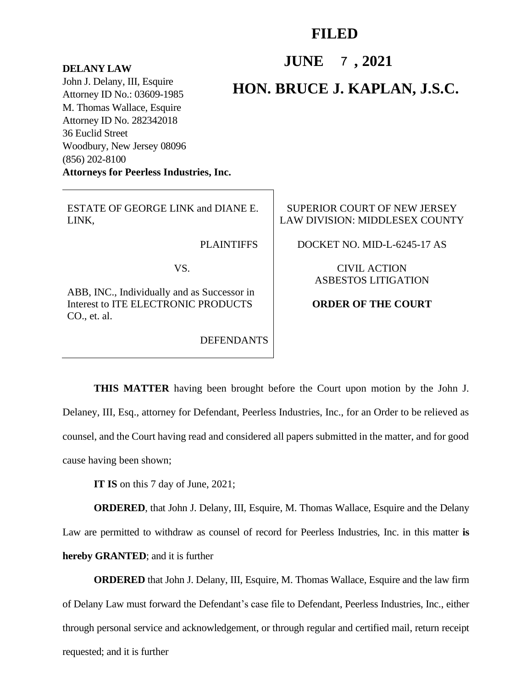## **FILED**

**JUNE** 7, 2021

## **DELANY LAW**

John J. Delany, III, Esquire Attorney ID No.: 03609-1985 M. Thomas Wallace, Esquire Attorney ID No. 282342018 36 Euclid Street Woodbury, New Jersey 08096 (856) 202-8100 **Attorneys for Peerless Industries, Inc.**

## **HON. BRUCE J. KAPLAN, J.S.C.**

ESTATE OF GEORGE LINK and DIANE E. LINK,

**PLAINTIFFS** 

VS.

ABB, INC., Individually and as Successor in Interest to ITE ELECTRONIC PRODUCTS CO., et. al.

DEFENDANTS

SUPERIOR COURT OF NEW JERSEY LAW DIVISION: MIDDLESEX COUNTY

DOCKET NO. MID-L-6245-17 AS

CIVIL ACTION ASBESTOS LITIGATION

## **ORDER OF THE COURT**

**THIS MATTER** having been brought before the Court upon motion by the John J. Delaney, III, Esq., attorney for Defendant, Peerless Industries, Inc., for an Order to be relieved as counsel, and the Court having read and considered all papers submitted in the matter, and for good cause having been shown;

**IT IS** on this 7 day of June, 2021;

**ORDERED**, that John J. Delany, III, Esquire, M. Thomas Wallace, Esquire and the Delany Law are permitted to withdraw as counsel of record for Peerless Industries, Inc. in this matter **is hereby GRANTED**; and it is further

**ORDERED** that John J. Delany, III, Esquire, M. Thomas Wallace, Esquire and the law firm of Delany Law must forward the Defendant's case file to Defendant, Peerless Industries, Inc., either through personal service and acknowledgement, or through regular and certified mail, return receipt requested; and it is further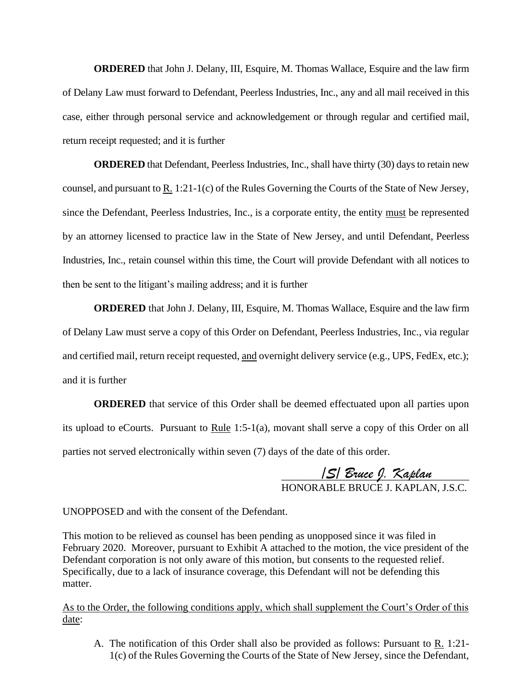**ORDERED** that John J. Delany, III, Esquire, M. Thomas Wallace, Esquire and the law firm of Delany Law must forward to Defendant, Peerless Industries, Inc., any and all mail received in this case, either through personal service and acknowledgement or through regular and certified mail, return receipt requested; and it is further

**ORDERED** that Defendant, Peerless Industries, Inc., shall have thirty (30) days to retain new counsel, and pursuant to  $R_1$ . 1:21-1(c) of the Rules Governing the Courts of the State of New Jersey, since the Defendant, Peerless Industries, Inc., is a corporate entity, the entity must be represented by an attorney licensed to practice law in the State of New Jersey, and until Defendant, Peerless Industries, Inc., retain counsel within this time, the Court will provide Defendant with all notices to then be sent to the litigant's mailing address; and it is further

**ORDERED** that John J. Delany, III, Esquire, M. Thomas Wallace, Esquire and the law firm of Delany Law must serve a copy of this Order on Defendant, Peerless Industries, Inc., via regular and certified mail, return receipt requested, and overnight delivery service (e.g., UPS, FedEx, etc.); and it is further

**ORDERED** that service of this Order shall be deemed effectuated upon all parties upon its upload to eCourts. Pursuant to Rule  $1:5-1(a)$ , movant shall serve a copy of this Order on all parties not served electronically within seven (7) days of the date of this order.

> \_\_\_\_\_\_\_\_\_\_\_\_\_\_\_\_\_\_\_\_\_\_\_\_\_\_\_\_\_\_\_\_\_\_\_\_ HONORABLE BRUCE J. KAPLAN, J.S.C.

UNOPPOSED and with the consent of the Defendant.

This motion to be relieved as counsel has been pending as unopposed since it was filed in February 2020. Moreover, pursuant to Exhibit A attached to the motion, the vice president of the Defendant corporation is not only aware of this motion, but consents to the requested relief. Specifically, due to a lack of insurance coverage, this Defendant will not be defending this matter. **15/** *Bruce 9. Kaplan*<br>
HONORABLE BRUCE J. KAPLAN, J.S.C.<br>
ED and with the consent of the Defendant.<br>
n to be relieved as counsel has been pending as unopposed since it was filed in<br>
220. Moreover, pursuant to Exhibit A a

As to the Order, the following conditions apply, which shall supplement the Court's Order of this date:

A. The notification of this Order shall also be provided as follows: Pursuant to  $\underline{R}$ . 1:21-